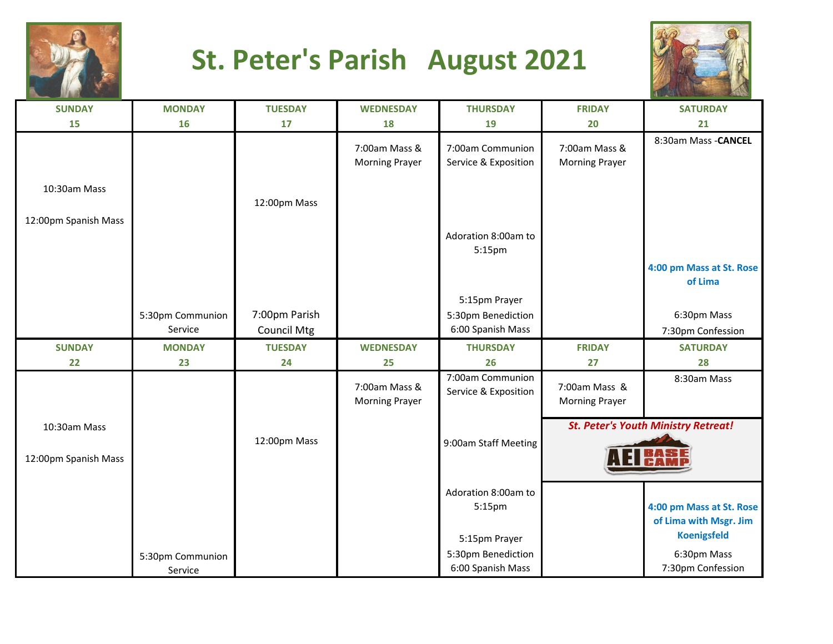

## **St. Peter's Parish August 2021**



| <b>SUNDAY</b>        | <b>MONDAY</b>               | <b>TUESDAY</b>     | <b>WEDNESDAY</b>                       | <b>THURSDAY</b>                          | <b>FRIDAY</b>                          | <b>SATURDAY</b>                            |
|----------------------|-----------------------------|--------------------|----------------------------------------|------------------------------------------|----------------------------------------|--------------------------------------------|
| 15                   | <b>16</b>                   | 17                 | 18                                     | 19                                       | 20                                     | 21                                         |
|                      |                             |                    | 7:00am Mass &<br><b>Morning Prayer</b> | 7:00am Communion<br>Service & Exposition | 7:00am Mass &<br><b>Morning Prayer</b> | 8:30am Mass - CANCEL                       |
| 10:30am Mass         |                             | 12:00pm Mass       |                                        |                                          |                                        |                                            |
| 12:00pm Spanish Mass |                             |                    |                                        |                                          |                                        |                                            |
|                      |                             |                    |                                        | Adoration 8:00am to<br>5:15pm            |                                        |                                            |
|                      |                             |                    |                                        |                                          |                                        | 4:00 pm Mass at St. Rose<br>of Lima        |
|                      |                             |                    |                                        | 5:15pm Prayer                            |                                        |                                            |
|                      | 5:30pm Communion            | 7:00pm Parish      |                                        | 5:30pm Benediction                       |                                        | 6:30pm Mass                                |
|                      | Service                     | <b>Council Mtg</b> |                                        | 6:00 Spanish Mass                        |                                        | 7:30pm Confession                          |
| <b>SUNDAY</b>        | <b>MONDAY</b>               | <b>TUESDAY</b>     | <b>WEDNESDAY</b>                       | <b>THURSDAY</b>                          | <b>FRIDAY</b>                          | <b>SATURDAY</b>                            |
| 22                   | 23                          | 24                 | 25                                     | 26                                       | 27                                     | 28                                         |
|                      |                             |                    | 7:00am Mass &<br><b>Morning Prayer</b> | 7:00am Communion<br>Service & Exposition | 7:00am Mass &<br><b>Morning Prayer</b> | 8:30am Mass                                |
| 10:30am Mass         |                             |                    |                                        |                                          |                                        |                                            |
|                      |                             |                    |                                        |                                          |                                        | <b>St. Peter's Youth Ministry Retreat!</b> |
| 12:00pm Spanish Mass |                             | 12:00pm Mass       |                                        | 9:00am Staff Meeting                     |                                        |                                            |
|                      |                             |                    |                                        |                                          |                                        |                                            |
|                      |                             |                    |                                        | Adoration 8:00am to                      |                                        |                                            |
|                      |                             |                    |                                        | 5:15pm                                   |                                        | 4:00 pm Mass at St. Rose                   |
|                      |                             |                    |                                        |                                          |                                        | of Lima with Msgr. Jim                     |
|                      |                             |                    |                                        | 5:15pm Prayer                            |                                        | <b>Koenigsfeld</b>                         |
|                      | 5:30pm Communion<br>Service |                    |                                        | 5:30pm Benediction<br>6:00 Spanish Mass  |                                        | 6:30pm Mass<br>7:30pm Confession           |